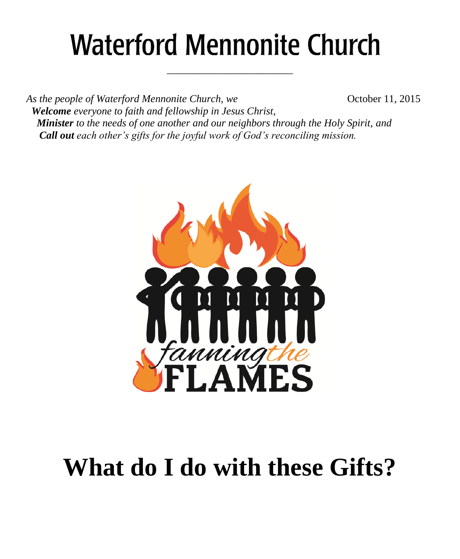# **Waterford Mennonite Church**

\_\_\_\_\_\_\_\_\_\_\_\_\_\_\_\_\_\_\_\_\_\_\_\_

*As the people of Waterford Mennonite Church, we* **Change 6** October 11, 2015  *Welcome everyone to faith and fellowship in Jesus Christ, Minister to the needs of one another and our neighbors through the Holy Spirit, and Call out each other's gifts for the joyful work of God's reconciling mission.*



# **What do I do with these Gifts?**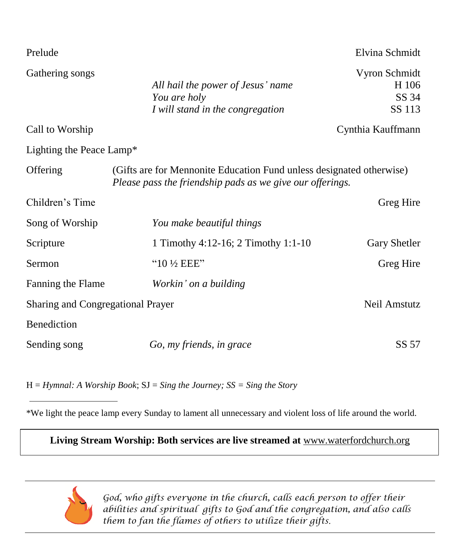| Prelude                                           |                                                                                                                                   | Elvina Schmidt                            |  |
|---------------------------------------------------|-----------------------------------------------------------------------------------------------------------------------------------|-------------------------------------------|--|
| Gathering songs                                   | All hail the power of Jesus' name<br>You are holy<br>I will stand in the congregation                                             | Vyron Schmidt<br>H 106<br>SS 34<br>SS 113 |  |
| Call to Worship                                   |                                                                                                                                   | Cynthia Kauffmann                         |  |
| Lighting the Peace Lamp*                          |                                                                                                                                   |                                           |  |
| Offering                                          | (Gifts are for Mennonite Education Fund unless designated otherwise)<br>Please pass the friendship pads as we give our offerings. |                                           |  |
| Children's Time                                   |                                                                                                                                   | Greg Hire                                 |  |
| Song of Worship                                   | You make beautiful things                                                                                                         |                                           |  |
| Scripture                                         | 1 Timothy 4:12-16; 2 Timothy 1:1-10                                                                                               | Gary Shetler                              |  |
| Sermon                                            | " $10\frac{1}{2}$ EEE"                                                                                                            | Greg Hire                                 |  |
| Fanning the Flame                                 | Workin' on a building                                                                                                             |                                           |  |
| Neil Amstutz<br>Sharing and Congregational Prayer |                                                                                                                                   |                                           |  |
| Benediction                                       |                                                                                                                                   |                                           |  |
| Sending song                                      | Go, my friends, in grace                                                                                                          | SS 57                                     |  |

H = *Hymnal: A Worship Book*; SJ = *Sing the Journey; SS = Sing the Story*

\*We light the peace lamp every Sunday to lament all unnecessary and violent loss of life around the world.

**Living Stream Worship: Both services are live streamed at** [www.waterfordchurch.org](http://www.waterfordchurch.org/)



 *God, who gifts everyone in the church, calls each person to offer their abilities and spiritual gifts to God and the congregation, and also calls them to fan the flames of others to utilize their gifts.*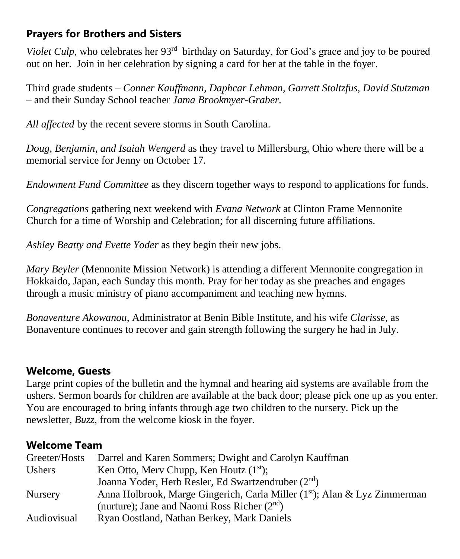# **Prayers for Brothers and Sisters**

Violet Culp, who celebrates her 93<sup>rd</sup> birthday on Saturday, for God's grace and joy to be poured out on her. Join in her celebration by signing a card for her at the table in the foyer.

Third grade students *– Conner Kauffmann, Daphcar Lehman, Garrett Stoltzfus, David Stutzman –* and their Sunday School teacher *Jama Brookmyer-Graber.*

*All affected* by the recent severe storms in South Carolina.

*Doug, Benjamin, and Isaiah Wengerd* as they travel to Millersburg, Ohio where there will be a memorial service for Jenny on October 17.

*Endowment Fund Committee* as they discern together ways to respond to applications for funds.

*Congregations* gathering next weekend with *Evana Network* at Clinton Frame Mennonite Church for a time of Worship and Celebration; for all discerning future affiliations.

*Ashley Beatty and Evette Yoder* as they begin their new jobs.

*Mary Beyler* (Mennonite Mission Network) is attending a different Mennonite congregation in Hokkaido, Japan, each Sunday this month. Pray for her today as she preaches and engages through a music ministry of piano accompaniment and teaching new hymns.

*Bonaventure Akowanou*, Administrator at Benin Bible Institute, and his wife *Clarisse,* as Bonaventure continues to recover and gain strength following the surgery he had in July.

#### **Welcome, Guests**

Large print copies of the bulletin and the hymnal and hearing aid systems are available from the ushers. Sermon boards for children are available at the back door; please pick one up as you enter. You are encouraged to bring infants through age two children to the nursery. Pick up the newsletter, *Buzz,* from the welcome kiosk in the foyer.

#### **Welcome Team**

| Greeter/Hosts  | Darrel and Karen Sommers; Dwight and Carolyn Kauffman                                 |
|----------------|---------------------------------------------------------------------------------------|
| <b>Ushers</b>  | Ken Otto, Merv Chupp, Ken Houtz $(1st)$ ;                                             |
|                | Joanna Yoder, Herb Resler, Ed Swartzendruber (2 <sup>nd</sup> )                       |
| <b>Nursery</b> | Anna Holbrook, Marge Gingerich, Carla Miller (1 <sup>st</sup> ); Alan & Lyz Zimmerman |
|                | (nurture); Jane and Naomi Ross Richer $(2nd)$                                         |
| Audiovisual    | Ryan Oostland, Nathan Berkey, Mark Daniels                                            |